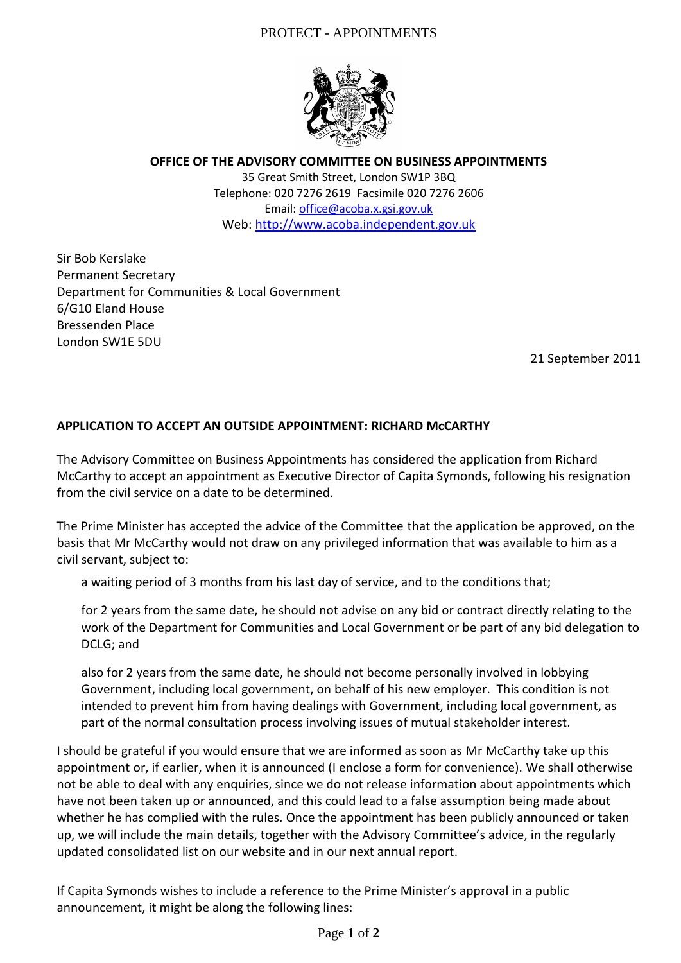## PROTECT - APPOINTMENTS



## **OFFICE OF THE ADVISORY COMMITTEE ON BUSINESS APPOINTMENTS**

35 Great Smith Street, London SW1P 3BQ Telephone: 020 7276 2619 Facsimile 020 7276 2606 Email: [office@acoba.x.gsi.gov.uk](mailto:office@acoba.x.gsi.gov.uk) Web: [http://www.acoba.independent.gov.uk](http://www.acoba.independent.gov.uk/)

Sir Bob Kerslake Permanent Secretary Department for Communities & Local Government 6/G10 Eland House Bressenden Place London SW1E 5DU

21 September 2011

## **APPLICATION TO ACCEPT AN OUTSIDE APPOINTMENT: RICHARD McCARTHY**

The Advisory Committee on Business Appointments has considered the application from Richard McCarthy to accept an appointment as Executive Director of Capita Symonds, following his resignation from the civil service on a date to be determined.

The Prime Minister has accepted the advice of the Committee that the application be approved, on the basis that Mr McCarthy would not draw on any privileged information that was available to him as a civil servant, subject to:

a waiting period of 3 months from his last day of service, and to the conditions that;

for 2 years from the same date, he should not advise on any bid or contract directly relating to the work of the Department for Communities and Local Government or be part of any bid delegation to DCLG; and

also for 2 years from the same date, he should not become personally involved in lobbying Government, including local government, on behalf of his new employer. This condition is not intended to prevent him from having dealings with Government, including local government, as part of the normal consultation process involving issues of mutual stakeholder interest.

I should be grateful if you would ensure that we are informed as soon as Mr McCarthy take up this appointment or, if earlier, when it is announced (I enclose a form for convenience). We shall otherwise not be able to deal with any enquiries, since we do not release information about appointments which have not been taken up or announced, and this could lead to a false assumption being made about whether he has complied with the rules. Once the appointment has been publicly announced or taken up, we will include the main details, together with the Advisory Committee's advice, in the regularly updated consolidated list on our website and in our next annual report.

If Capita Symonds wishes to include a reference to the Prime Minister's approval in a public announcement, it might be along the following lines: